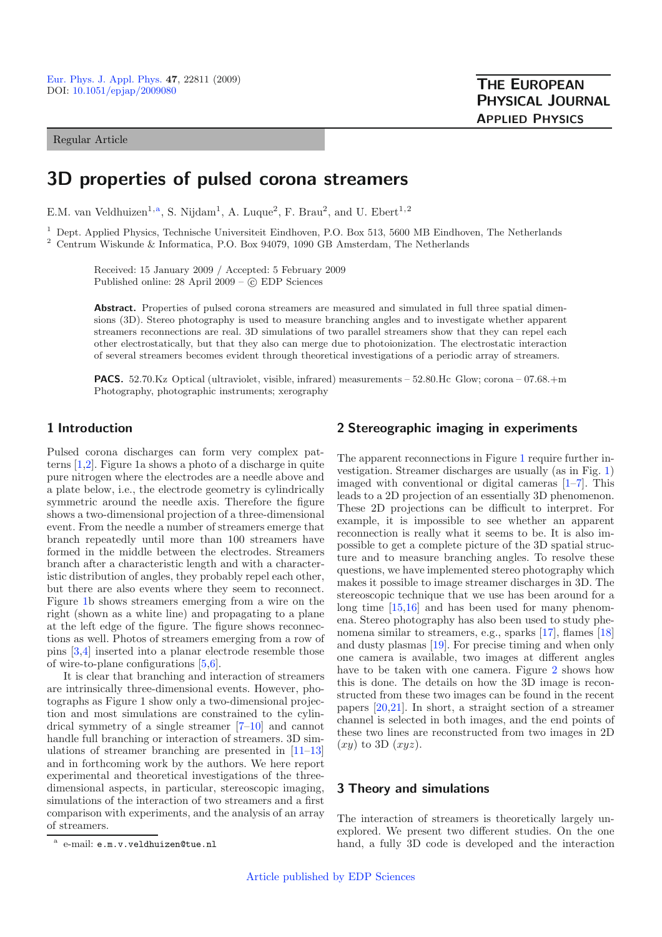Regular Article

**THE EUROPEAN PHYSICAL JOURNAL APPLIED PHYSICS**

# **3D properties of pulsed corona streamers**

E.M. van Veldhuizen<sup>1,a</sup>, S. Nijdam<sup>1</sup>, A. Luque<sup>2</sup>, F. Brau<sup>2</sup>, and U. Ebert<sup>1,2</sup>

<sup>1</sup> Dept. Applied Physics, Technische Universiteit Eindhoven, P.O. Box 513, 5600 MB Eindhoven, The Netherlands

<sup>2</sup> Centrum Wiskunde & Informatica, P.O. Box 94079, 1090 GB Amsterdam, The Netherlands

Received: 15 January 2009 / Accepted: 5 February 2009 Published online: 28 April 2009 – © EDP Sciences

Abstract. Properties of pulsed corona streamers are measured and simulated in full three spatial dimensions (3D). Stereo photography is used to measure branching angles and to investigate whether apparent streamers reconnections are real. 3D simulations of two parallel streamers show that they can repel each other electrostatically, but that they also can merge due to photoionization. The electrostatic interaction of several streamers becomes evident through theoretical investigations of a periodic array of streamers.

**PACS.** 52.70.Kz Optical (ultraviolet, visible, infrared) measurements – 52.80.Hc Glow; corona – 07.68.+m Photography, photographic instruments; xerography

# **1 Introduction**

Pulsed corona discharges can form very complex patterns [\[1](#page-3-0)[,2\]](#page-3-1). Figure 1a shows a photo of a discharge in quite pure nitrogen where the electrodes are a needle above and a plate below, i.e., the electrode geometry is cylindrically symmetric around the needle axis. Therefore the figure shows a two-dimensional projection of a three-dimensional event. From the needle a number of streamers emerge that branch repeatedly until more than 100 streamers have formed in the middle between the electrodes. Streamers branch after a characteristic length and with a characteristic distribution of angles, they probably repel each other, but there are also events where they seem to reconnect. Figure [1b](#page-1-0) shows streamers emerging from a wire on the right (shown as a white line) and propagating to a plane at the left edge of the figure. The figure shows reconnections as well. Photos of streamers emerging from a row of pins [\[3](#page-3-2)[,4](#page-3-3)] inserted into a planar electrode resemble those of wire-to-plane configurations [\[5](#page-3-4)[,6\]](#page-3-5).

It is clear that branching and interaction of streamers are intrinsically three-dimensional events. However, photographs as Figure 1 show only a two-dimensional projection and most simulations are constrained to the cylindrical symmetry of a single streamer [\[7](#page-3-6)[–10\]](#page-4-0) and cannot handle full branching or interaction of streamers. 3D simulations of streamer branching are presented in [\[11](#page-4-1)[–13\]](#page-4-2) and in forthcoming work by the authors. We here report experimental and theoretical investigations of the threedimensional aspects, in particular, stereoscopic imaging, simulations of the interaction of two streamers and a first comparison with experiments, and the analysis of an array of streamers.

## **2 Stereographic imaging in experiments**

The apparent reconnections in Figure [1](#page-1-0) require further investigation. Streamer discharges are usually (as in Fig. [1\)](#page-1-0) imaged with conventional or digital cameras [\[1](#page-3-0)[–7\]](#page-3-6). This leads to a 2D projection of an essentially 3D phenomenon. These 2D projections can be difficult to interpret. For example, it is impossible to see whether an apparent reconnection is really what it seems to be. It is also impossible to get a complete picture of the 3D spatial structure and to measure branching angles. To resolve these questions, we have implemented stereo photography which makes it possible to image streamer discharges in 3D. The stereoscopic technique that we use has been around for a long time [\[15](#page-4-3)[,16\]](#page-4-4) and has been used for many phenomena. Stereo photography has also been used to study phe-nomena similar to streamers, e.g., sparks [\[17](#page-4-5)], flames [\[18\]](#page-4-6) and dusty plasmas [\[19\]](#page-4-7). For precise timing and when only one camera is available, two images at different angles have to be taken with one camera. Figure [2](#page-1-1) shows how this is done. The details on how the 3D image is reconstructed from these two images can be found in the recent papers [\[20](#page-4-8)[,21\]](#page-4-9). In short, a straight section of a streamer channel is selected in both images, and the end points of these two lines are reconstructed from two images in 2D  $(xy)$  to 3D  $(xyz)$ .

# **3 Theory and simulations**

The interaction of streamers is theoretically largely unexplored. We present two different studies. On the one hand, a fully 3D code is developed and the interaction

e-mail: e.m.v.veldhuizen@tue.nl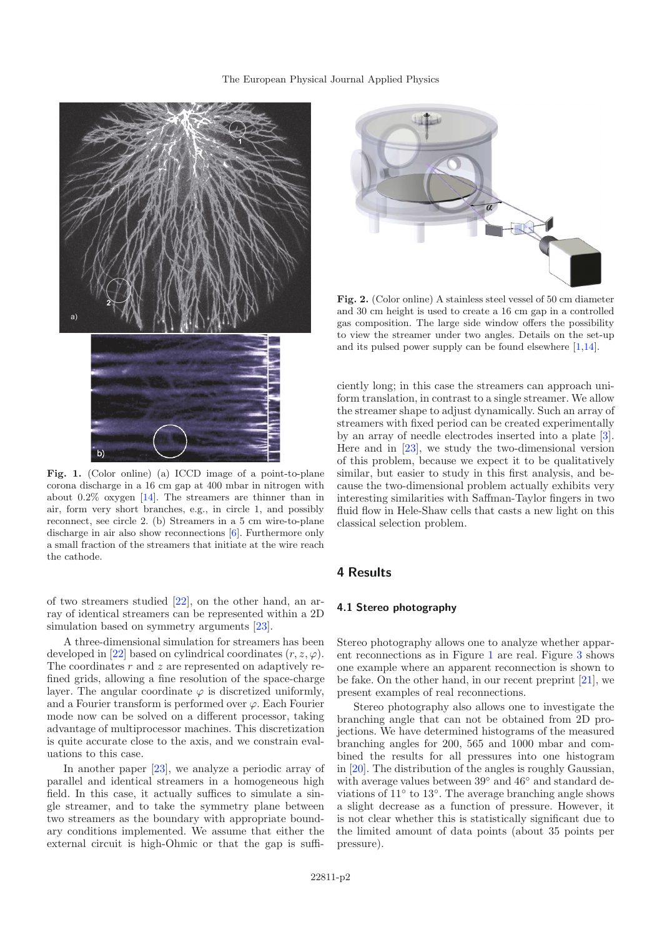#### The European Physical Journal Applied Physics



<span id="page-1-0"></span>**Fig. 1.** (Color online) (a) ICCD image of a point-to-plane corona discharge in a 16 cm gap at 400 mbar in nitrogen with about 0.2% oxygen [\[14\]](#page-4-10). The streamers are thinner than in air, form very short branches, e.g., in circle 1, and possibly reconnect, see circle 2. (b) Streamers in a 5 cm wire-to-plane discharge in air also show reconnections [\[6\]](#page-3-5). Furthermore only a small fraction of the streamers that initiate at the wire reach the cathode.

of two streamers studied [\[22\]](#page-4-11), on the other hand, an array of identical streamers can be represented within a 2D simulation based on symmetry arguments [\[23\]](#page-4-12).

A three-dimensional simulation for streamers has been developed in [\[22](#page-4-11)] based on cylindrical coordinates  $(r, z, \varphi)$ . The coordinates  $r$  and  $z$  are represented on adaptively refined grids, allowing a fine resolution of the space-charge layer. The angular coordinate  $\varphi$  is discretized uniformly, and a Fourier transform is performed over  $\varphi$ . Each Fourier mode now can be solved on a different processor, taking advantage of multiprocessor machines. This discretization is quite accurate close to the axis, and we constrain evaluations to this case.

In another paper [\[23\]](#page-4-12), we analyze a periodic array of parallel and identical streamers in a homogeneous high field. In this case, it actually suffices to simulate a single streamer, and to take the symmetry plane between two streamers as the boundary with appropriate boundary conditions implemented. We assume that either the external circuit is high-Ohmic or that the gap is suffi-

<span id="page-1-1"></span>

**Fig. 2.** (Color online) A stainless steel vessel of 50 cm diameter and 30 cm height is used to create a 16 cm gap in a controlled gas composition. The large side window offers the possibility to view the streamer under two angles. Details on the set-up and its pulsed power supply can be found elsewhere [\[1](#page-3-0)[,14](#page-4-10)].

ciently long; in this case the streamers can approach uniform translation, in contrast to a single streamer. We allow the streamer shape to adjust dynamically. Such an array of streamers with fixed period can be created experimentally by an array of needle electrodes inserted into a plate [\[3\]](#page-3-2). Here and in [\[23\]](#page-4-12), we study the two-dimensional version of this problem, because we expect it to be qualitatively similar, but easier to study in this first analysis, and because the two-dimensional problem actually exhibits very interesting similarities with Saffman-Taylor fingers in two fluid flow in Hele-Shaw cells that casts a new light on this classical selection problem.

# **4 Results**

#### **4.1 Stereo photography**

Stereo photography allows one to analyze whether apparent reconnections as in Figure [1](#page-1-0) are real. Figure [3](#page-2-0) shows one example where an apparent reconnection is shown to be fake. On the other hand, in our recent preprint [\[21\]](#page-4-9), we present examples of real reconnections.

Stereo photography also allows one to investigate the branching angle that can not be obtained from 2D projections. We have determined histograms of the measured branching angles for 200, 565 and 1000 mbar and combined the results for all pressures into one histogram in [\[20\]](#page-4-8). The distribution of the angles is roughly Gaussian, with average values between 39◦ and 46◦ and standard deviations of 11◦ to 13◦. The average branching angle shows a slight decrease as a function of pressure. However, it is not clear whether this is statistically significant due to the limited amount of data points (about 35 points per pressure).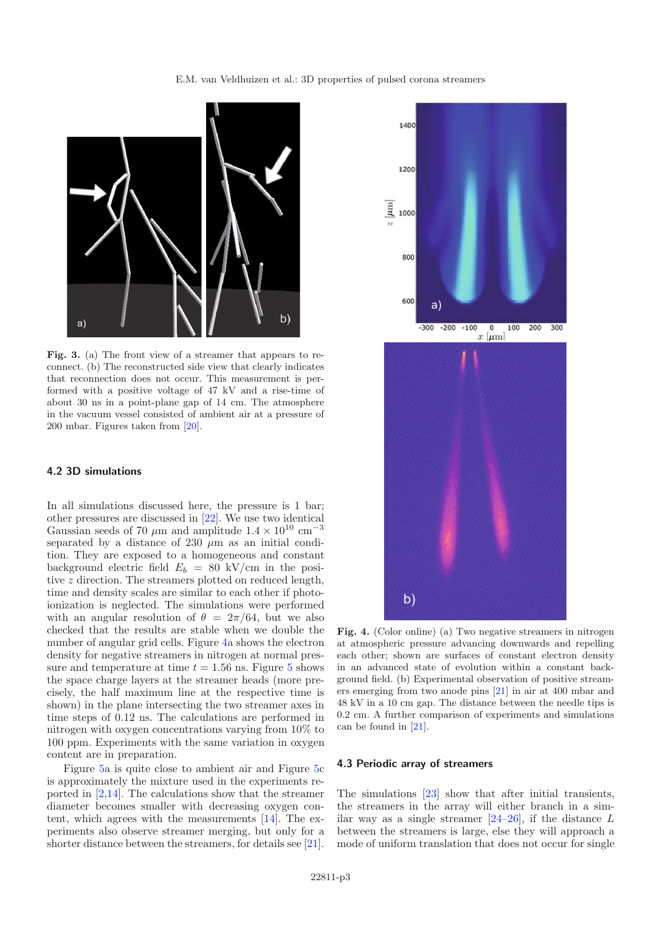#### E.M. van Veldhuizen et al.: 3D properties of pulsed corona streamers

<span id="page-2-0"></span>

**Fig. 3.** (a) The front view of a streamer that appears to reconnect. (b) The reconstructed side view that clearly indicates that reconnection does not occur. This measurement is performed with a positive voltage of 47 kV and a rise-time of about 30 ns in a point-plane gap of 14 cm. The atmosphere in the vacuum vessel consisted of ambient air at a pressure of 200 mbar. Figures taken from [\[20\]](#page-4-8).

## **4.2 3D simulations**

In all simulations discussed here, the pressure is 1 bar; other pressures are discussed in [\[22\]](#page-4-11). We use two identical Gaussian seeds of 70  $\mu \mathrm{m}$  and amplitude  $1.4 \times 10^{10} \mathrm{~cm}^{-3}$ separated by a distance of 230  $\mu$ m as an initial condition. They are exposed to a homogeneous and constant background electric field  $E_b = 80$  kV/cm in the positive z direction. The streamers plotted on reduced length, time and density scales are similar to each other if photoionization is neglected. The simulations were performed with an angular resolution of  $\theta = 2\pi/64$ , but we also checked that the results are stable when we double the number of angular grid cells. Figure [4a](#page-2-1) shows the electron density for negative streamers in nitrogen at normal pressure and temperature at time  $t = 1.56$  $t = 1.56$  $t = 1.56$  ns. Figure 5 shows the space charge layers at the streamer heads (more precisely, the half maximum line at the respective time is shown) in the plane intersecting the two streamer axes in time steps of 0.12 ns. The calculations are performed in nitrogen with oxygen concentrations varying from 10% to 100 ppm. Experiments with the same variation in oxygen content are in preparation.

Figure [5a](#page-3-7) is quite close to ambient air and Figure [5c](#page-3-7) is approximately the mixture used in the experiments reported in  $[2,14]$  $[2,14]$  $[2,14]$ . The calculations show that the streamer diameter becomes smaller with decreasing oxygen content, which agrees with the measurements [\[14](#page-4-10)]. The experiments also observe streamer merging, but only for a shorter distance between the streamers, for details see [\[21\]](#page-4-9).



<span id="page-2-1"></span>Fig. 4. (Color online) (a) Two negative streamers in nitrogen at atmospheric pressure advancing downwards and repelling each other; shown are surfaces of constant electron density in an advanced state of evolution within a constant background field. (b) Experimental observation of positive streamers emerging from two anode pins [\[21](#page-4-9)] in air at 400 mbar and 48 kV in a 10 cm gap. The distance between the needle tips is 0.2 cm. A further comparison of experiments and simulations can be found in [\[21\]](#page-4-9).

#### **4.3 Periodic array of streamers**

The simulations [\[23\]](#page-4-12) show that after initial transients, the streamers in the array will either branch in a similar way as a single streamer  $[24-26]$  $[24-26]$ , if the distance L between the streamers is large, else they will approach a mode of uniform translation that does not occur for single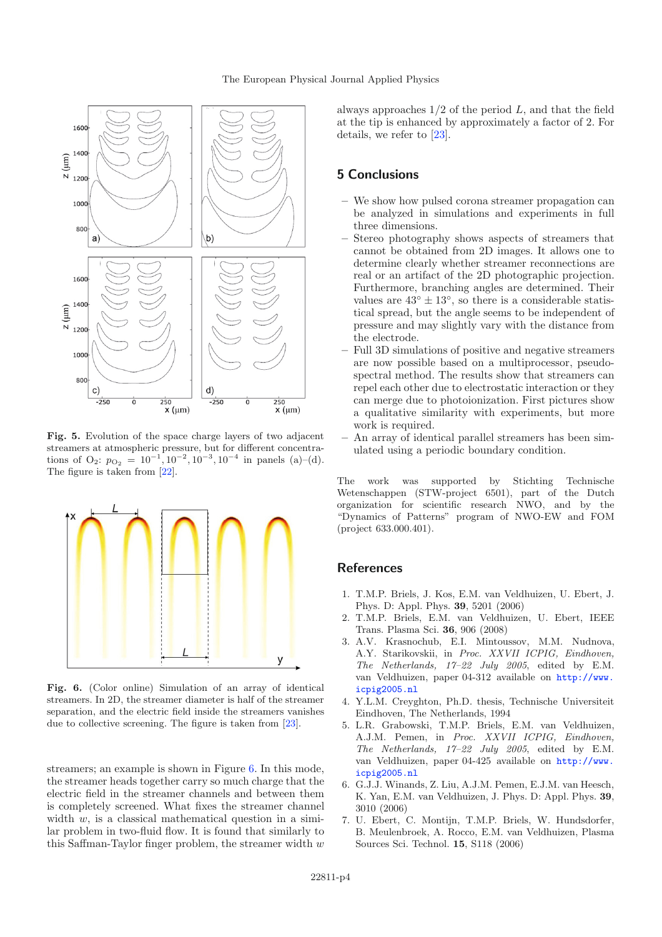

<span id="page-3-7"></span>**Fig. 5.** Evolution of the space charge layers of two adjacent streamers at atmospheric pressure, but for different concentrations of O<sub>2</sub>:  $p_{\text{O}_2} = 10^{-1}$ ,  $10^{-2}$ ,  $10^{-3}$ ,  $10^{-4}$  in panels (a)–(d). The figure is taken from [\[22](#page-4-11)].

<span id="page-3-8"></span>

**Fig. 6.** (Color online) Simulation of an array of identical streamers. In 2D, the streamer diameter is half of the streamer separation, and the electric field inside the streamers vanishes due to collective screening. The figure is taken from [\[23\]](#page-4-12).

streamers; an example is shown in Figure [6.](#page-3-8) In this mode, the streamer heads together carry so much charge that the electric field in the streamer channels and between them is completely screened. What fixes the streamer channel width  $w$ , is a classical mathematical question in a similar problem in two-fluid flow. It is found that similarly to this Saffman-Taylor finger problem, the streamer width  $w$  always approaches  $1/2$  of the period  $L$ , and that the field at the tip is enhanced by approximately a factor of 2. For details, we refer to [\[23\]](#page-4-12).

# **5 Conclusions**

- **–** We show how pulsed corona streamer propagation can be analyzed in simulations and experiments in full three dimensions.
- **–** Stereo photography shows aspects of streamers that cannot be obtained from 2D images. It allows one to determine clearly whether streamer reconnections are real or an artifact of the 2D photographic projection. Furthermore, branching angles are determined. Their values are  $43^\circ \pm 13^\circ$ , so there is a considerable statistical spread, but the angle seems to be independent of pressure and may slightly vary with the distance from the electrode.
- **–** Full 3D simulations of positive and negative streamers are now possible based on a multiprocessor, pseudospectral method. The results show that streamers can repel each other due to electrostatic interaction or they can merge due to photoionization. First pictures show a qualitative similarity with experiments, but more work is required.
- **–** An array of identical parallel streamers has been simulated using a periodic boundary condition.

The work was supported by Stichting Technische Wetenschappen (STW-project 6501), part of the Dutch organization for scientific research NWO, and by the "Dynamics of Patterns" program of NWO-EW and FOM (project 633.000.401).

# <span id="page-3-0"></span>**References**

- 1. T.M.P. Briels, J. Kos, E.M. van Veldhuizen, U. Ebert, J. Phys. D: Appl. Phys. **39**, 5201 (2006)
- <span id="page-3-1"></span>2. T.M.P. Briels, E.M. van Veldhuizen, U. Ebert, IEEE Trans. Plasma Sci. **36**, 906 (2008)
- <span id="page-3-2"></span>3. A.V. Krasnochub, E.I. Mintoussov, M.M. Nudnova, A.Y. Starikovskii, in *Proc. XXVII ICPIG, Eindhoven, The Netherlands, 17–22 July 2005*, edited by E.M. van Veldhuizen, paper 04-312 available on [http://www.](http://www.icpig2005.nl) [icpig2005.nl](http://www.icpig2005.nl)
- <span id="page-3-3"></span>4. Y.L.M. Creyghton, Ph.D. thesis, Technische Universiteit Eindhoven, The Netherlands, 1994
- <span id="page-3-4"></span>5. L.R. Grabowski, T.M.P. Briels, E.M. van Veldhuizen, A.J.M. Pemen, in *Proc. XXVII ICPIG, Eindhoven, The Netherlands, 17–22 July 2005*, edited by E.M. van Veldhuizen, paper 04-425 available on [http://www.](http://www.icpig2005.nl) [icpig2005.nl](http://www.icpig2005.nl)
- <span id="page-3-5"></span>6. G.J.J. Winands, Z. Liu, A.J.M. Pemen, E.J.M. van Heesch, K. Yan, E.M. van Veldhuizen, J. Phys. D: Appl. Phys. **39**, 3010 (2006)
- <span id="page-3-6"></span>7. U. Ebert, C. Montijn, T.M.P. Briels, W. Hundsdorfer, B. Meulenbroek, A. Rocco, E.M. van Veldhuizen, Plasma Sources Sci. Technol. **15**, S118 (2006)